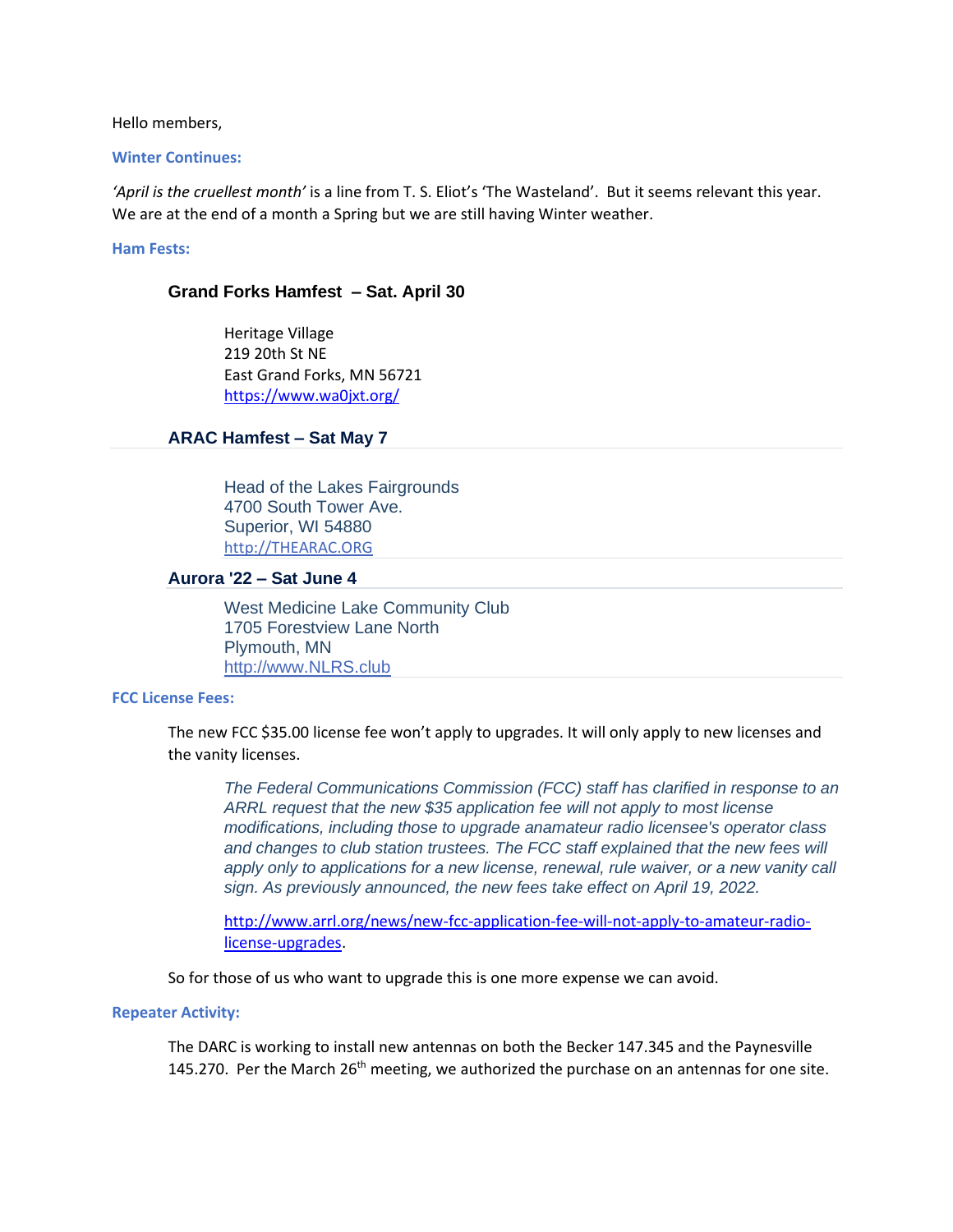Hello members,

#### **Winter Continues:**

*'April is the cruellest month'* is a line from T. S. Eliot's 'The Wasteland'. But it seems relevant this year. We are at the end of a month a Spring but we are still having Winter weather.

### **Ham Fests:**

### **Grand Forks Hamfest – Sat. April 30**

Heritage Village 219 20th St NE East Grand Forks, MN 56721 <https://www.wa0jxt.org/>

### **ARAC Hamfest – Sat May 7**

Head of the Lakes Fairgrounds 4700 South Tower Ave. Superior, WI 54880 [http://THEARAC.ORG](http://thearac.org/)

#### **Aurora '22 – Sat June 4**

West Medicine Lake Community Club 1705 Forestview Lane North Plymouth, MN [http://www.NLRS.club](http://www.nlrs.club/)

#### **FCC License Fees:**

The new FCC \$35.00 license fee won't apply to upgrades. It will only apply to new licenses and the vanity licenses.

*The Federal Communications Commission (FCC) staff has clarified in response to an ARRL request that the new \$35 application fee will not apply to most license modifications, including those to upgrade anamateur radio licensee's operator class and changes to club station trustees. The FCC staff explained that the new fees will apply only to applications for a new license, renewal, rule waiver, or a new vanity call sign. As previously announced, the new fees take effect on April 19, 2022.*

[http://www.arrl.org/news/new-fcc-application-fee-will-not-apply-to-amateur-radio](http://www.arrl.org/news/new-fcc-application-fee-will-not-apply-to-amateur-radio-license-upgrades)[license-upgrades.](http://www.arrl.org/news/new-fcc-application-fee-will-not-apply-to-amateur-radio-license-upgrades)

So for those of us who want to upgrade this is one more expense we can avoid.

#### **Repeater Activity:**

The DARC is working to install new antennas on both the Becker 147.345 and the Paynesville 145.270. Per the March  $26<sup>th</sup>$  meeting, we authorized the purchase on an antennas for one site.